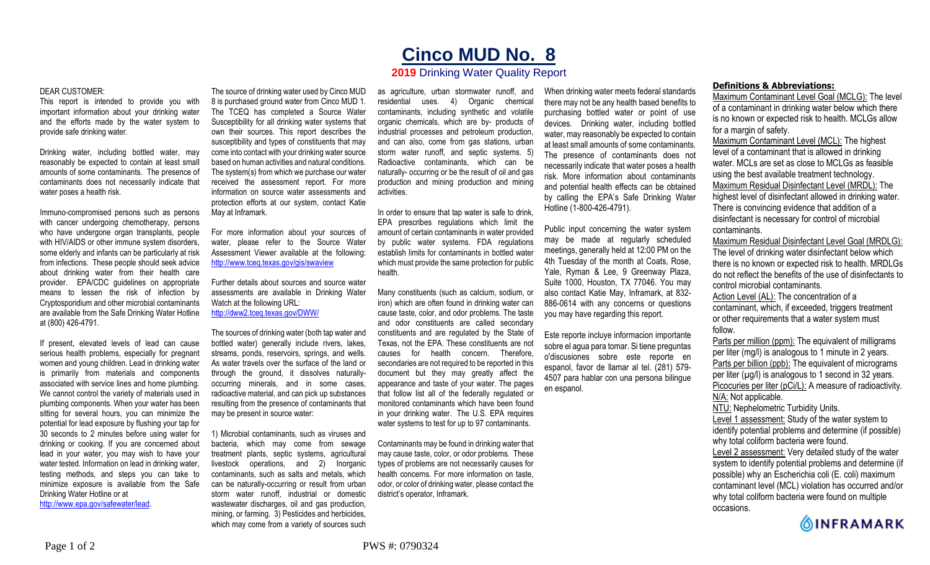## **Cinco MUD No. 8**

## **2019** Drinking Water Quality Report

## DEAR CUSTOMER:

This report is intended to provide you with important information about your drinking water and the efforts made by the water system to provide safe drinking water.

Drinking water, including bottled water, may reasonably be expected to contain at least small amounts of some contaminants. The presence of contaminants does not necessarily indicate that water poses a health risk.

Immuno-compromised persons such as persons with cancer undergoing chemotherapy, persons who have undergone organ transplants, people with HIV/AIDS or other immune system disorders, some elderly and infants can be particularly at risk from infections. These people should seek advice about drinking water from their health care provider. EPA/CDC guidelines on appropriate means to lessen the risk of infection by Cryptosporidium and other microbial contaminants are available from the Safe Drinking Water Hotline at (800) 426-4791.

If present, elevated levels of lead can cause serious health problems, especially for pregnant women and young children. Lead in drinking water is primarily from materials and components associated with service lines and home plumbing. We cannot control the variety of materials used in plumbing components. When your water has been sitting for several hours, you can minimize the potential for lead exposure by flushing your tap for 30 seconds to 2 minutes before using water for drinking or cooking. If you are concerned about lead in your water, you may wish to have your water tested. Information on lead in drinking water, testing methods, and steps you can take to minimize exposure is available from the Safe Drinking Water Hotline or at http://www.epa.gov/safewater/lead.

The source of drinking water used by Cinco MUD 8 is purchased ground water from Cinco MUD 1. The TCEQ has completed a Source Water Susceptibility for all drinking water systems that own their sources. This report describes the susceptibility and types of constituents that may come into contact with your drinking water source based on human activities and natural conditions. The system(s) from which we purchase our water received the assessment report. For more information on source water assessments and protection efforts at our system, contact Katie May at Inframark.

For more information about your sources of water, please refer to the Source Water Assessment Viewer available at the following: http://www.tceq.texas.gov/gis/swaview

Further details about sources and source water assessments are available in Drinking Water Watch at the following URL: http://dww2.tceq.texas.gov/DWW/

The sources of drinking water (both tap water and bottled water) generally include rivers, lakes, streams, ponds, reservoirs, springs, and wells. As water travels over the surface of the land or through the ground, it dissolves naturallyoccurring minerals, and in some cases, radioactive material, and can pick up substances resulting from the presence of contaminants that may be present in source water:

1) Microbial contaminants, such as viruses and bacteria, which may come from sewage treatment plants, septic systems, agricultural livestock operations, and 2) Inorganic contaminants, such as salts and metals, which can be naturally-occurring or result from urban storm water runoff, industrial or domestic wastewater discharges, oil and gas production, mining, or farming. 3) Pesticides and herbicides, which may come from a variety of sources such

as agriculture, urban stormwater runoff, and residential uses. 4) Organic chemical contaminants, including synthetic and volatile organic chemicals, which are by- products of industrial processes and petroleum production, and can also, come from gas stations, urban storm water runoff, and septic systems. 5) Radioactive contaminants, which can be naturally- occurring or be the result of oil and gas production and mining production and mining activities.

In order to ensure that tap water is safe to drink, EPA prescribes regulations which limit the amount of certain contaminants in water provided by public water systems. FDA regulations establish limits for contaminants in bottled water which must provide the same protection for public health.

Many constituents (such as calcium, sodium, or iron) which are often found in drinking water can cause taste, color, and odor problems. The taste and odor constituents are called secondary constituents and are regulated by the State of Texas, not the EPA. These constituents are not causes for health concern. Therefore, secondaries are not required to be reported in this document but they may greatly affect the appearance and taste of your water. The pages that follow list all of the federally regulated or monitored contaminants which have been found in your drinking water. The U.S. EPA requires water systems to test for up to 97 contaminants.

Contaminants may be found in drinking water that may cause taste, color, or odor problems. These types of problems are not necessarily causes for health concerns. For more information on taste, odor, or color of drinking water, please contact the district's operator, Inframark.

When drinking water meets federal standards there may not be any health based benefits to purchasing bottled water or point of use devices. Drinking water, including bottled water, may reasonably be expected to contain at least small amounts of some contaminants. The presence of contaminants does not necessarily indicate that water poses a health risk. More information about contaminants and potential health effects can be obtained by calling the EPA's Safe Drinking Water Hotline (1-800-426-4791).

Public input concerning the water system may be made at regularly scheduled meetings, generally held at 12:00 PM on the 4th Tuesday of the month at Coats, Rose, Yale, Ryman & Lee, 9 Greenway Plaza, Suite 1000, Houston, TX 77046. You may also contact Katie May, Inframark, at 832- 886-0614 with any concerns or questions you may have regarding this report.

Este reporte incluye informacion importante sobre el agua para tomar. Si tiene preguntas o'discusiones sobre este reporte en espanol, favor de llamar al tel. (281) 579- 4507 para hablar con una persona bilingue en espanol.

## **Definitions & Abbreviations:**

Maximum Contaminant Level Goal (MCLG): The level of a contaminant in drinking water below which there is no known or expected risk to health. MCLGs allow for a margin of safety.

Maximum Contaminant Level (MCL): The highest level of a contaminant that is allowed in drinking water. MCLs are set as close to MCLGs as feasible using the best available treatment technology. Maximum Residual Disinfectant Level (MRDL): The highest level of disinfectant allowed in drinking water. There is convincing evidence that addition of a disinfectant is necessary for control of microbial contaminants.

Maximum Residual Disinfectant Level Goal (MRDLG): The level of drinking water disinfectant below which there is no known or expected risk to health. MRDLGs do not reflect the benefits of the use of disinfectants to control microbial contaminants.

Action Level (AL): The concentration of a contaminant, which, if exceeded, triggers treatment or other requirements that a water system must follow.

Parts per million (ppm): The equivalent of milligrams per liter (mg/l) is analogous to 1 minute in 2 years. Parts per billion (ppb): The equivalent of micrograms per liter  $(\mu g/l)$  is analogous to 1 second in 32 years. Picocuries per liter (pCi/L): A measure of radioactivity. N/A: Not applicable. NTU: Nephelometric Turbidity Units. Level 1 assessment: Study of the water system to

identify potential problems and determine (if possible) why total coliform bacteria were found.

Level 2 assessment: Very detailed study of the water system to identify potential problems and determine (if possible) why an Escherichia coli (E. coli) maximum contaminant level (MCL) violation has occurred and/or why total coliform bacteria were found on multiple occasions.

**OINFRAMARK**